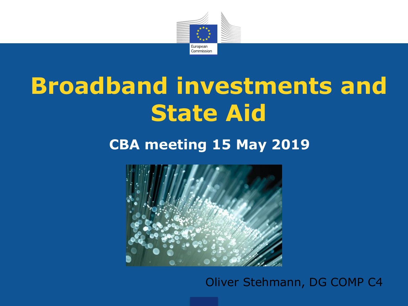

# **Broadband investments and State Aid**

# **CBA meeting 15 May 2019**



## Oliver Stehmann, DG COMP C4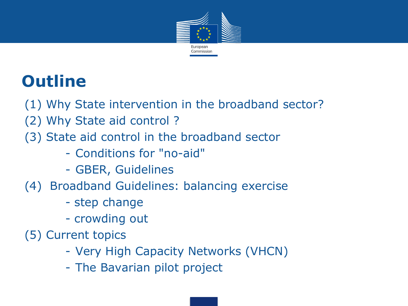

# **Outline**

- (1) Why State intervention in the broadband sector?
- (2) Why State aid control ?
- (3) State aid control in the broadband sector
	- Conditions for "no-aid"
	- GBER, Guidelines
- (4) Broadband Guidelines: balancing exercise
	- step change
	- crowding out
- (5) Current topics
	- Very High Capacity Networks (VHCN)
	- The Bavarian pilot project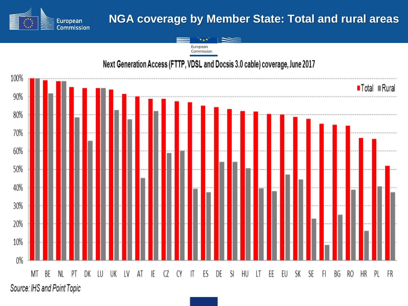

# **NGA coverage by Member State: Total and rural areas**

European Commission

#### Next Generation Access (FTTP, VDSL and Docsis 3.0 cable) coverage, June 2017

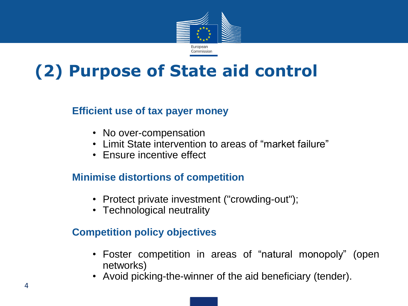

# **(2) Purpose of State aid control**

#### **Efficient use of tax payer money**

- No over-compensation
- Limit State intervention to areas of "market failure"
- Ensure incentive effect

#### **Minimise distortions of competition**

- Protect private investment ("crowding-out");
- Technological neutrality

#### **Competition policy objectives**

- Foster competition in areas of "natural monopoly" (open networks)
- Avoid picking-the-winner of the aid beneficiary (tender).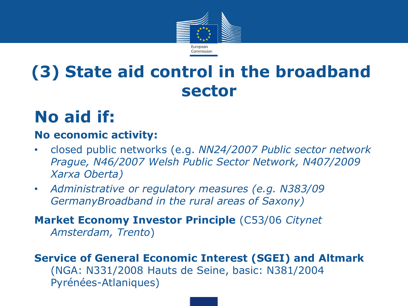

# **(3) State aid control in the broadband sector**

# **No aid if:**

### **No economic activity:**

- closed public networks (e.g. *NN24/2007 Public sector network Prague, N46/2007 Welsh Public Sector Network, N407/2009 Xarxa Oberta)*
- *Administrative or regulatory measures (e.g. N383/09 GermanyBroadband in the rural areas of Saxony)*

**Market Economy Investor Principle** (C53/06 *Citynet Amsterdam, Trento*)

**Service of General Economic Interest (SGEI) and Altmark** (NGA: N331/2008 Hauts de Seine, basic: N381/2004 Pyrénées-Atlaniques)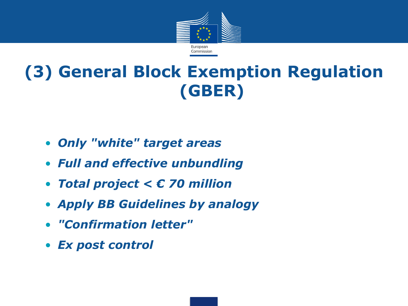

# **(3) General Block Exemption Regulation (GBER)**

- *Only "white" target areas*
- *Full and effective unbundling*
- *Total project < € 70 million*
- *Apply BB Guidelines by analogy*
- *"Confirmation letter"*
- *Ex post control*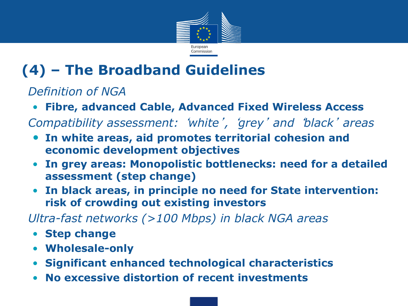

# **(4) – The Broadband Guidelines**

*Definition of NGA*

- **Fibre, advanced Cable, Advanced Fixed Wireless Access**
- *Compatibility assessment:* '*white*' *,*  '*grey*' *and* '*black*' *areas*
- **In white areas, aid promotes territorial cohesion and economic development objectives**
- **In grey areas: Monopolistic bottlenecks: need for a detailed assessment (step change)**
- **In black areas, in principle no need for State intervention: risk of crowding out existing investors**

*Ultra-fast networks (>100 Mbps) in black NGA areas*

- **Step change**
- **Wholesale-only**
- **Significant enhanced technological characteristics**
- **No excessive distortion of recent investments**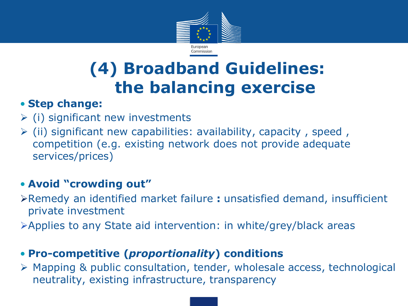

# **(4) Broadband Guidelines: the balancing exercise**

## • **Step change:**

- $\triangleright$  (i) significant new investments
- $\triangleright$  (ii) significant new capabilities: availability, capacity, speed, competition (e.g. existing network does not provide adequate services/prices)

# • **Avoid "crowding out"**

- Remedy an identified market failure **:** unsatisfied demand, insufficient private investment
- Applies to any State aid intervention: in white/grey/black areas

## • **Pro-competitive (***proportionality***) conditions**

 Mapping & public consultation, tender, wholesale access, technological neutrality, existing infrastructure, transparency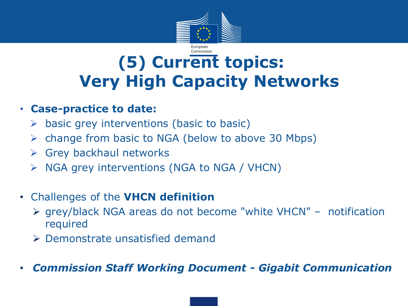

# Commission **(5) Current topics: Very High Capacity Networks**

### • **Case-practice to date:**

- $\triangleright$  basic grey interventions (basic to basic)
- $\triangleright$  change from basic to NGA (below to above 30 Mbps)
- $\triangleright$  Grey backhaul networks
- $\triangleright$  NGA grey interventions (NGA to NGA / VHCN)

# • Challenges of the **VHCN definition**

- grey/black NGA areas do not become "white VHCN" notification required
- Demonstrate unsatisfied demand
- *Commission Staff Working Document - Gigabit Communication*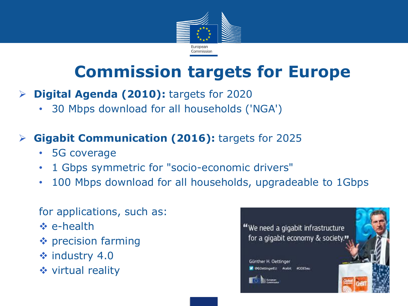

# **Commission targets for Europe**

- **Digital Agenda (2010):** targets for 2020
	- 30 Mbps download for all households ('NGA')

# **Gigabit Communication (2016):** targets for 2025

- 5G coverage
- 1 Gbps symmetric for "socio-economic drivers"
- 100 Mbps download for all households, upgradeable to 1Gbps

#### for applications, such as:

- **☆ e-health**
- $\triangle$  precision farming
- $\div$  industry 4.0
- **❖** virtual reality

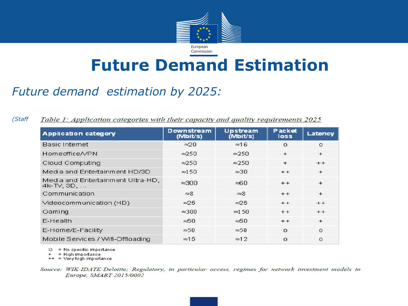

# **Future Demand Estimation**

# *Future demand estimation by 2025:*

*(Staff Table 1: Application categories with their capacity and quality requirements 2025)* 

| <b>Application category</b>                           | <b>Downstream</b><br>(Mbit/s) | <b>Upstream</b><br>(Mbit/s) | Packet<br>loss | Latency  |
|-------------------------------------------------------|-------------------------------|-----------------------------|----------------|----------|
| <b>Basic Internet</b>                                 | $\approx 20$                  | $\approx$ 16                | $\Omega$       | $\Omega$ |
| Homeoffice/VPN                                        | $\approx$ 250                 | $\approx$ 250               | $+$            | $+$      |
| Cloud Computing                                       | $\approx 250$                 | $\approx$ 250               | $+$            | $+ +$    |
| Media and Entertainment HD/3D                         | $\approx 150$                 | $\approx$ 30                | $+ +$          | $+$      |
| Media and Entertainment Ultra-HD,<br>$4k$ -TV, $3D, $ | $\approx$ 300                 | ≈വെ                         | $+ +$          | $+$      |
| Communication                                         | $\approx 8$                   | $\approx 8$                 | $+ +$          | $+$      |
| Videocommunication (HD)                               | $\approx 25$                  | $\approx 25$                | $+ +$          | $+ +$    |
| Gaming                                                | $\approx$ 300                 | $\approx 150$               | $+ +$          | $+ +$    |
| E-Health                                              | $\approx 50$                  | $\approx 50$                | $+ +$          | $+$      |
| E-Home/E-Facility                                     | $\approx 50$                  | $\approx 50$                | $\Omega$       | $\Omega$ |
| Mobile Services / Wifi-Offloading                     | $\approx 15$                  | $\approx$ 12                | n              | $\Omega$ |

 $O = No$  specific importance

 $=$  High importance

 $++ =$  Very high importance

Source: WIK-IDATE-Deloitte; Regulatory, in particular access, regimes for network investment models in Europe, SMART 2015/0002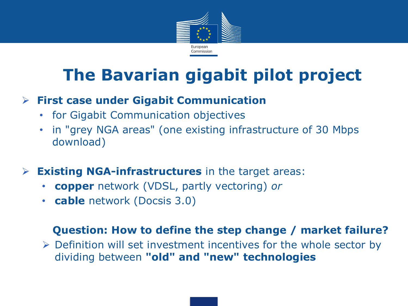

# **The Bavarian gigabit pilot project**

# **First case under Gigabit Communication**

- for Gigabit Communication objectives
- in "grey NGA areas" (one existing infrastructure of 30 Mbps download)
- **Existing NGA-infrastructures** in the target areas:
	- **copper** network (VDSL, partly vectoring) *or*
	- **cable** network (Docsis 3.0)

#### **Question: How to define the step change / market failure?**

 $\triangleright$  Definition will set investment incentives for the whole sector by dividing between **"old" and "new" technologies**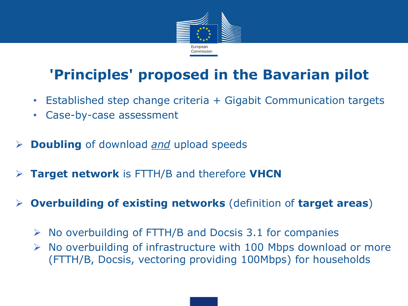

# **'Principles' proposed in the Bavarian pilot**

- Established step change criteria + Gigabit Communication targets
- Case-by-case assessment
- **Doubling** of download *and* upload speeds
- **Target network** is FTTH/B and therefore **VHCN**
- **Overbuilding of existing networks** (definition of **target areas**)
	- $\triangleright$  No overbuilding of FTTH/B and Docsis 3.1 for companies
	- $\triangleright$  No overbuilding of infrastructure with 100 Mbps download or more (FTTH/B, Docsis, vectoring providing 100Mbps) for households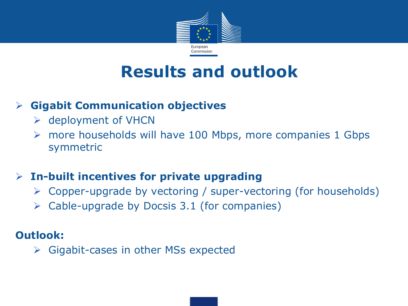

# **Results and outlook**

### **Gigabit Communication objectives**

- $\triangleright$  deployment of VHCN
- $\triangleright$  more households will have 100 Mbps, more companies 1 Gbps symmetric

## **In-built incentives for private upgrading**

- Copper-upgrade by vectoring / super-vectoring (for households)
- $\triangleright$  Cable-upgrade by Docsis 3.1 (for companies)

### **Outlook:**

 $\triangleright$  Gigabit-cases in other MSs expected